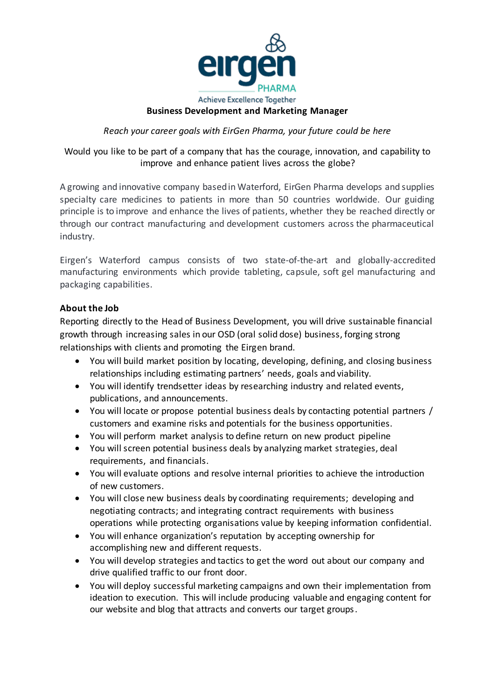

#### **Business Development and Marketing Manager**

#### *Reach your career goals with EirGen Pharma, your future could be here*

# Would you like to be part of a company that has the courage, innovation, and capability to improve and enhance patient lives across the globe?

A growing and innovative company based in Waterford, EirGen Pharma develops and supplies specialty care medicines to patients in more than 50 countries worldwide. Our guiding principle is to improve and enhance the lives of patients, whether they be reached directly or through our contract manufacturing and development customers across the pharmaceutical industry.

Eirgen's Waterford campus consists of two state-of-the-art and globally-accredited manufacturing environments which provide tableting, capsule, soft gel manufacturing and packaging capabilities.

### **About the Job**

Reporting directly to the Head of Business Development, you will drive sustainable financial growth through increasing sales in our OSD (oral solid dose) business, forging strong relationships with clients and promoting the Eirgen brand.

- You will build market position by locating, developing, defining, and closing business relationships including estimating partners' needs, goals and viability.
- You will identify trendsetter ideas by researching industry and related events, publications, and announcements.
- You will locate or propose potential business deals by contacting potential partners / customers and examine risks and potentials for the business opportunities.
- You will perform market analysis to define return on new product pipeline
- You will screen potential business deals by analyzing market strategies, deal requirements, and financials.
- You will evaluate options and resolve internal priorities to achieve the introduction of new customers.
- You will close new business deals by coordinating requirements; developing and negotiating contracts; and integrating contract requirements with business operations while protecting organisations value by keeping information confidential.
- You will enhance organization's reputation by accepting ownership for accomplishing new and different requests.
- You will develop strategies and tactics to get the word out about our company and drive qualified traffic to our front door.
- You will deploy successful marketing campaigns and own their implementation from ideation to execution. This will include producing valuable and engaging content for our website and blog that attracts and converts our target groups.